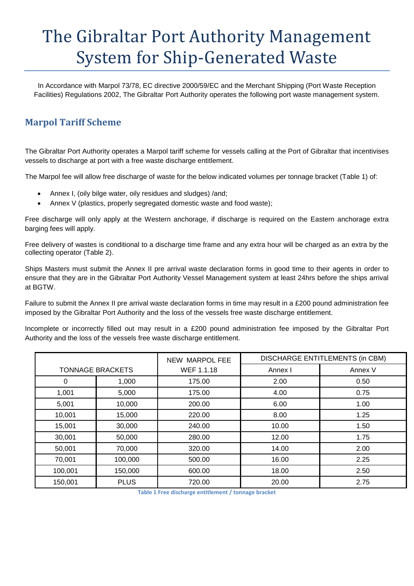# The Gibraltar Port Authority Management System for Ship-Generated Waste

In Accordance with Marpol 73/78, EC directive 2000/59/EC and the Merchant Shipping (Port Waste Reception Facilities) Regulations 2002, The Gibraltar Port Authority operates the following port waste management system.

## **Marpol Tariff Scheme**

The Gibraltar Port Authority operates a Marpol tariff scheme for vessels calling at the Port of Gibraltar that incentivises vessels to discharge at port with a free waste discharge entitlement.

The Marpol fee will allow free discharge of waste for the below indicated volumes per tonnage bracket (Table 1) of:

- Annex I, (oily bilge water, oily residues and sludges) /and;
- Annex V (plastics, properly segregated domestic waste and food waste);

Free discharge will only apply at the Western anchorage, if discharge is required on the Eastern anchorage extra barging fees will apply.

Free delivery of wastes is conditional to a discharge time frame and any extra hour will be charged as an extra by the collecting operator (Table 2).

Ships Masters must submit the Annex II pre arrival waste declaration forms in good time to their agents in order to ensure that they are in the Gibraltar Port Authority Vessel Management system at least 24hrs before the ships arrival at BGTW.

Failure to submit the Annex II pre arrival waste declaration forms in time may result in a £200 pound administration fee imposed by the Gibraltar Port Authority and the loss of the vessels free waste discharge entitlement.

Incomplete or incorrectly filled out may result in a £200 pound administration fee imposed by the Gibraltar Port Authority and the loss of the vessels free waste discharge entitlement.

|                         |             | <b>NEW MARPOL FEE</b> | DISCHARGE ENTITLEMENTS (in CBM) |         |  |
|-------------------------|-------------|-----------------------|---------------------------------|---------|--|
| <b>TONNAGE BRACKETS</b> |             | WEF 1.1.18            | Annex I                         | Annex V |  |
| 0                       | 1,000       | 175.00                | 2.00                            | 0.50    |  |
| 1,001                   | 5,000       | 175.00                | 4.00                            | 0.75    |  |
| 5,001                   | 10,000      | 200.00                | 6.00                            | 1.00    |  |
| 10,001                  | 15,000      | 220.00                | 8.00                            | 1.25    |  |
| 15,001                  | 30,000      | 240.00                | 10.00                           | 1.50    |  |
| 30,001                  | 50,000      | 280.00                | 12.00                           | 1.75    |  |
| 50,001                  | 70,000      | 320.00                | 14.00                           | 2.00    |  |
| 70,001                  | 100,000     | 500.00                | 16.00                           | 2.25    |  |
| 100,001                 | 150,000     | 600.00                | 18.00                           | 2.50    |  |
| 150,001                 | <b>PLUS</b> | 720.00                | 20.00                           | 2.75    |  |

**Table 1 Free discharge entitlement / tonnage bracket**